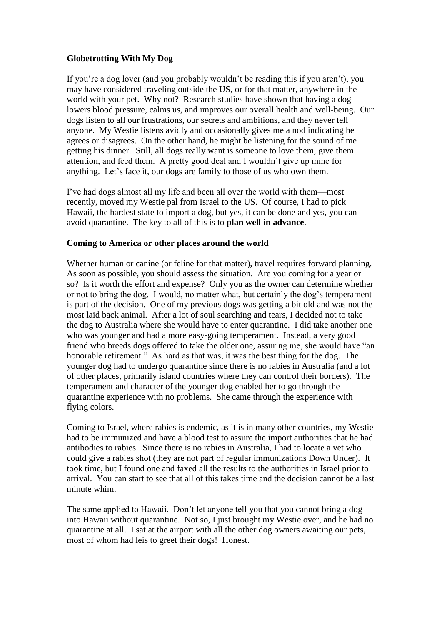## **Globetrotting With My Dog**

If you're a dog lover (and you probably wouldn't be reading this if you aren't), you may have considered traveling outside the US, or for that matter, anywhere in the world with your pet. Why not? Research studies have shown that having a dog lowers blood pressure, calms us, and improves our overall health and well-being. Our dogs listen to all our frustrations, our secrets and ambitions, and they never tell anyone. My Westie listens avidly and occasionally gives me a nod indicating he agrees or disagrees. On the other hand, he might be listening for the sound of me getting his dinner. Still, all dogs really want is someone to love them, give them attention, and feed them. A pretty good deal and I wouldn't give up mine for anything. Let's face it, our dogs are family to those of us who own them.

I've had dogs almost all my life and been all over the world with them—most recently, moved my Westie pal from Israel to the US. Of course, I had to pick Hawaii, the hardest state to import a dog, but yes, it can be done and yes, you can avoid quarantine. The key to all of this is to **plan well in advance**.

## **Coming to America or other places around the world**

Whether human or canine (or feline for that matter), travel requires forward planning. As soon as possible, you should assess the situation. Are you coming for a year or so? Is it worth the effort and expense? Only you as the owner can determine whether or not to bring the dog. I would, no matter what, but certainly the dog's temperament is part of the decision. One of my previous dogs was getting a bit old and was not the most laid back animal. After a lot of soul searching and tears, I decided not to take the dog to Australia where she would have to enter quarantine. I did take another one who was younger and had a more easy-going temperament. Instead, a very good friend who breeds dogs offered to take the older one, assuring me, she would have "an honorable retirement." As hard as that was, it was the best thing for the dog. The younger dog had to undergo quarantine since there is no rabies in Australia (and a lot of other places, primarily island countries where they can control their borders). The temperament and character of the younger dog enabled her to go through the quarantine experience with no problems. She came through the experience with flying colors.

Coming to Israel, where rabies is endemic, as it is in many other countries, my Westie had to be immunized and have a blood test to assure the import authorities that he had antibodies to rabies. Since there is no rabies in Australia, I had to locate a vet who could give a rabies shot (they are not part of regular immunizations Down Under). It took time, but I found one and faxed all the results to the authorities in Israel prior to arrival. You can start to see that all of this takes time and the decision cannot be a last minute whim.

The same applied to Hawaii. Don't let anyone tell you that you cannot bring a dog into Hawaii without quarantine. Not so, I just brought my Westie over, and he had no quarantine at all. I sat at the airport with all the other dog owners awaiting our pets, most of whom had leis to greet their dogs! Honest.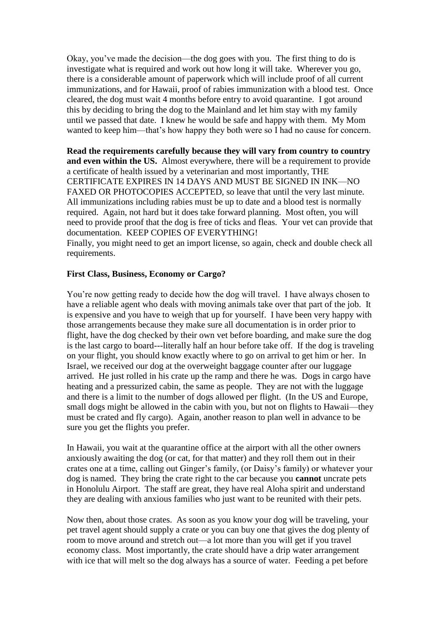Okay, you've made the decision—the dog goes with you. The first thing to do is investigate what is required and work out how long it will take. Wherever you go, there is a considerable amount of paperwork which will include proof of all current immunizations, and for Hawaii, proof of rabies immunization with a blood test. Once cleared, the dog must wait 4 months before entry to avoid quarantine. I got around this by deciding to bring the dog to the Mainland and let him stay with my family until we passed that date. I knew he would be safe and happy with them. My Mom wanted to keep him—that's how happy they both were so I had no cause for concern.

**Read the requirements carefully because they will vary from country to country and even within the US.** Almost everywhere, there will be a requirement to provide a certificate of health issued by a veterinarian and most importantly, THE CERTIFICATE EXPIRES IN 14 DAYS AND MUST BE SIGNED IN INK—NO FAXED OR PHOTOCOPIES ACCEPTED, so leave that until the very last minute. All immunizations including rabies must be up to date and a blood test is normally required. Again, not hard but it does take forward planning. Most often, you will need to provide proof that the dog is free of ticks and fleas. Your vet can provide that documentation. KEEP COPIES OF EVERYTHING!

Finally, you might need to get an import license, so again, check and double check all requirements.

## **First Class, Business, Economy or Cargo?**

You're now getting ready to decide how the dog will travel. I have always chosen to have a reliable agent who deals with moving animals take over that part of the job. It is expensive and you have to weigh that up for yourself. I have been very happy with those arrangements because they make sure all documentation is in order prior to flight, have the dog checked by their own vet before boarding, and make sure the dog is the last cargo to board---literally half an hour before take off. If the dog is traveling on your flight, you should know exactly where to go on arrival to get him or her. In Israel, we received our dog at the overweight baggage counter after our luggage arrived. He just rolled in his crate up the ramp and there he was. Dogs in cargo have heating and a pressurized cabin, the same as people. They are not with the luggage and there is a limit to the number of dogs allowed per flight. (In the US and Europe, small dogs might be allowed in the cabin with you, but not on flights to Hawaii—they must be crated and fly cargo). Again, another reason to plan well in advance to be sure you get the flights you prefer.

In Hawaii, you wait at the quarantine office at the airport with all the other owners anxiously awaiting the dog (or cat, for that matter) and they roll them out in their crates one at a time, calling out Ginger's family, (or Daisy's family) or whatever your dog is named. They bring the crate right to the car because you **cannot** uncrate pets in Honolulu Airport. The staff are great, they have real Aloha spirit and understand they are dealing with anxious families who just want to be reunited with their pets.

Now then, about those crates. As soon as you know your dog will be traveling, your pet travel agent should supply a crate or you can buy one that gives the dog plenty of room to move around and stretch out—a lot more than you will get if you travel economy class. Most importantly, the crate should have a drip water arrangement with ice that will melt so the dog always has a source of water. Feeding a pet before